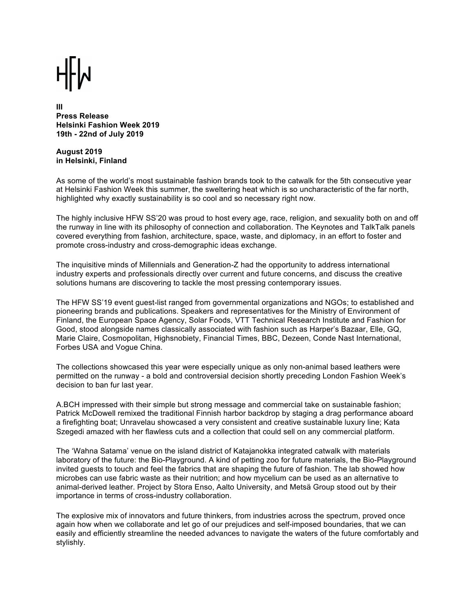**III Press Release Helsinki Fashion Week 2019 19th - 22nd of July 2019**

**August 2019 in Helsinki, Finland**

As some of the world's most sustainable fashion brands took to the catwalk for the 5th consecutive year at Helsinki Fashion Week this summer, the sweltering heat which is so uncharacteristic of the far north, highlighted why exactly sustainability is so cool and so necessary right now.

The highly inclusive HFW SS'20 was proud to host every age, race, religion, and sexuality both on and off the runway in line with its philosophy of connection and collaboration. The Keynotes and TalkTalk panels covered everything from fashion, architecture, space, waste, and diplomacy, in an effort to foster and promote cross-industry and cross-demographic ideas exchange.

The inquisitive minds of Millennials and Generation-Z had the opportunity to address international industry experts and professionals directly over current and future concerns, and discuss the creative solutions humans are discovering to tackle the most pressing contemporary issues.

The HFW SS'19 event guest-list ranged from governmental organizations and NGOs; to established and pioneering brands and publications. Speakers and representatives for the Ministry of Environment of Finland, the European Space Agency, Solar Foods, VTT Technical Research Institute and Fashion for Good, stood alongside names classically associated with fashion such as Harper's Bazaar, Elle, GQ, Marie Claire, Cosmopolitan, Highsnobiety, Financial Times, BBC, Dezeen, Conde Nast International, Forbes USA and Vogue China.

The collections showcased this year were especially unique as only non-animal based leathers were permitted on the runway - a bold and controversial decision shortly preceding London Fashion Week's decision to ban fur last year.

A.BCH impressed with their simple but strong message and commercial take on sustainable fashion; Patrick McDowell remixed the traditional Finnish harbor backdrop by staging a drag performance aboard a firefighting boat; Unravelau showcased a very consistent and creative sustainable luxury line; Kata Szegedi amazed with her flawless cuts and a collection that could sell on any commercial platform.

The 'Wahna Satama' venue on the island district of Katajanokka integrated catwalk with materials laboratory of the future: the Bio-Playground. A kind of petting zoo for future materials, the Bio-Playground invited guests to touch and feel the fabrics that are shaping the future of fashion. The lab showed how microbes can use fabric waste as their nutrition; and how mycelium can be used as an alternative to animal-derived leather. Project by Stora Enso, Aalto University, and Metsä Group stood out by their importance in terms of cross-industry collaboration.

The explosive mix of innovators and future thinkers, from industries across the spectrum, proved once again how when we collaborate and let go of our prejudices and self-imposed boundaries, that we can easily and efficiently streamline the needed advances to navigate the waters of the future comfortably and stylishly.